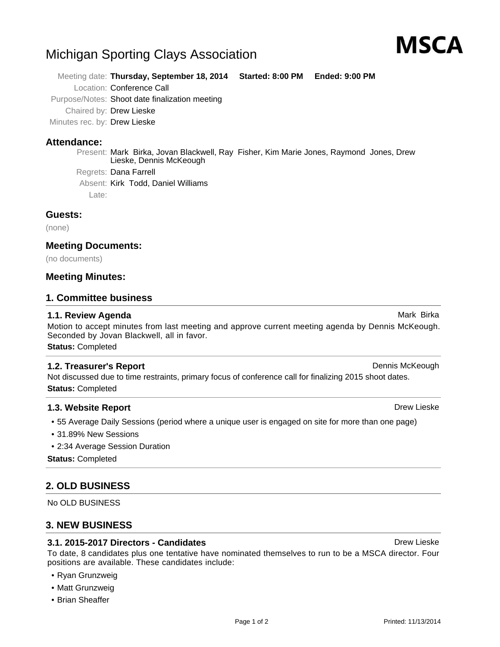## Michigan Sporting Clays Association

Meeting date: **Thursday, September 18, 2014 Started: 8:00 PM Ended: 9:00 PM**

Location: Conference Call

Purpose/Notes: Shoot date finalization meeting

Chaired by: Drew Lieske

Minutes rec. by: Drew Lieske

#### **Attendance:**

Present: Mark Birka, Jovan Blackwell, Ray Fisher, Kim Marie Jones, Raymond Jones, Drew Lieske, Dennis McKeough

Regrets: Dana Farrell

Absent: Kirk Todd, Daniel Williams

Late:

#### **Guests:**

(none)

#### **Meeting Documents:**

(no documents)

#### **Meeting Minutes:**

#### **1. Committee business**

#### **1.1. Review Agenda** Mark Birka Birka Agent Birka Agent Birka Agent Birka Agent Birka Agent Birka Agent Birka Agent Birka Agent Birka Agent Birka Agent Birka Agent Birka Agent Birka Agent Birka Agent Birka Agent Birka Agen

Motion to accept minutes from last meeting and approve current meeting agenda by Dennis McKeough. Seconded by Jovan Blackwell, all in favor. **Status:** Completed

Not discussed due to time restraints, primary focus of conference call for finalizing 2015 shoot dates. **Status:** Completed

#### **1.3. Website Report Drew Lieske Drew Lieske Drew Lieske Drew Lieske**

- 55 Average Daily Sessions (period where a unique user is engaged on site for more than one page)
- 31.89% New Sessions
- 2:34 Average Session Duration

**Status:** Completed

### **2. OLD BUSINESS**

No OLD BUSINESS

### **3. NEW BUSINESS**

#### **3.1. 2015-2017 Directors - Candidates** Drew Lieske Drew Lieske

To date, 8 candidates plus one tentative have nominated themselves to run to be a MSCA director. Four positions are available. These candidates include:

- Ryan Grunzweig
- Matt Grunzweig
- Brian Sheaffer

**1.2. Treasurer's Report Dennis McKeough Dennis McKeough Dennis McKeough** 

# MSCA